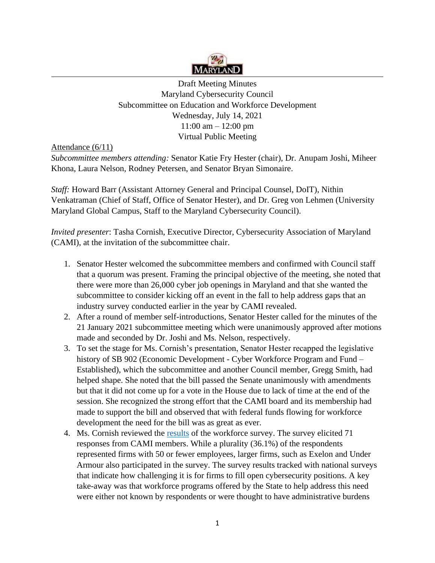

 11:00 am – 12:00 pm Draft Meeting Minutes Maryland Cybersecurity Council Subcommittee on Education and Workforce Development Wednesday, July 14, 2021 Virtual Public Meeting

Attendance (6/11)

 *Subcommittee members attending:* Senator Katie Fry Hester (chair), Dr. Anupam Joshi, Miheer Khona, Laura Nelson, Rodney Petersen, and Senator Bryan Simonaire.

*Staff:* Howard Barr (Assistant Attorney General and Principal Counsel, DoIT), Nithin Venkatraman (Chief of Staff, Office of Senator Hester), and Dr. Greg von Lehmen (University Maryland Global Campus, Staff to the Maryland Cybersecurity Council).

*Invited presenter*: Tasha Cornish, Executive Director, Cybersecurity Association of Maryland (CAMI), at the invitation of the subcommittee chair.

- industry survey conducted earlier in the year by CAMI revealed. 1. Senator Hester welcomed the subcommittee members and confirmed with Council staff that a quorum was present. Framing the principal objective of the meeting, she noted that there were more than 26,000 cyber job openings in Maryland and that she wanted the subcommittee to consider kicking off an event in the fall to help address gaps that an
- made and seconded by Dr. Joshi and Ms. Nelson, respectively. 2. After a round of member self-introductions, Senator Hester called for the minutes of the 21 January 2021 subcommittee meeting which were unanimously approved after motions
- Established), which the subcommittee and another Council member, Gregg Smith, had 3. To set the stage for Ms. Cornish's presentation, Senator Hester recapped the legislative history of SB 902 (Economic Development - Cyber Workforce Program and Fund – helped shape. She noted that the bill passed the Senate unanimously with amendments but that it did not come up for a vote in the House due to lack of time at the end of the session. She recognized the strong effort that the CAMI board and its membership had made to support the bill and observed that with federal funds flowing for workforce development the need for the bill was as great as ever.
- 4. Ms. Cornish reviewed the results of the workforce survey. The survey elicited 71 responses from CAMI members. While a plurality (36.1%) of the respondents represented firms with 50 or fewer employees, larger firms, such as Exelon and Under Armour also participated in the survey. The survey results tracked with national surveys that indicate how challenging it is for firms to fill open cybersecurity positions. A key take-away was that workforce programs offered by the State to help address this need were either not known by respondents or were thought to have administrative burdens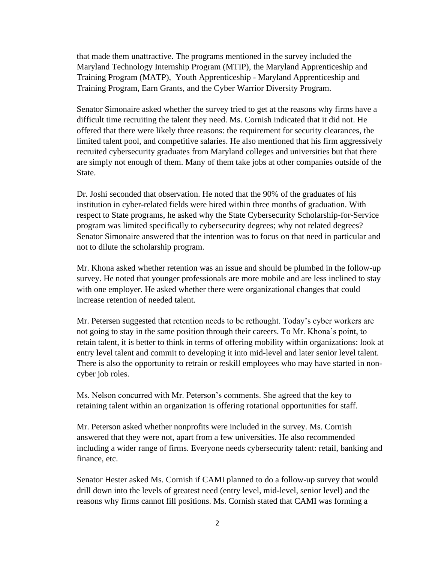Training Program, Earn Grants, and the Cyber Warrior Diversity Program. that made them unattractive. The programs mentioned in the survey included the Maryland Technology Internship Program (MTIP), the Maryland Apprenticeship and Training Program (MATP), Youth Apprenticeship - Maryland Apprenticeship and

Senator Simonaire asked whether the survey tried to get at the reasons why firms have a difficult time recruiting the talent they need. Ms. Cornish indicated that it did not. He offered that there were likely three reasons: the requirement for security clearances, the limited talent pool, and competitive salaries. He also mentioned that his firm aggressively recruited cybersecurity graduates from Maryland colleges and universities but that there are simply not enough of them. Many of them take jobs at other companies outside of the State.

 Dr. Joshi seconded that observation. He noted that the 90% of the graduates of his institution in cyber-related fields were hired within three months of graduation. With respect to State programs, he asked why the State Cybersecurity Scholarship-for-Service program was limited specifically to cybersecurity degrees; why not related degrees? Senator Simonaire answered that the intention was to focus on that need in particular and not to dilute the scholarship program.

 with one employer. He asked whether there were organizational changes that could Mr. Khona asked whether retention was an issue and should be plumbed in the follow-up survey. He noted that younger professionals are more mobile and are less inclined to stay increase retention of needed talent.

Mr. Petersen suggested that retention needs to be rethought. Today's cyber workers are not going to stay in the same position through their careers. To Mr. Khona's point, to retain talent, it is better to think in terms of offering mobility within organizations: look at entry level talent and commit to developing it into mid-level and later senior level talent. There is also the opportunity to retrain or reskill employees who may have started in noncyber job roles.

 retaining talent within an organization is offering rotational opportunities for staff. Ms. Nelson concurred with Mr. Peterson's comments. She agreed that the key to

Mr. Peterson asked whether nonprofits were included in the survey. Ms. Cornish answered that they were not, apart from a few universities. He also recommended including a wider range of firms. Everyone needs cybersecurity talent: retail, banking and finance, etc.

Senator Hester asked Ms. Cornish if CAMI planned to do a follow-up survey that would drill down into the levels of greatest need (entry level, mid-level, senior level) and the reasons why firms cannot fill positions. Ms. Cornish stated that CAMI was forming a